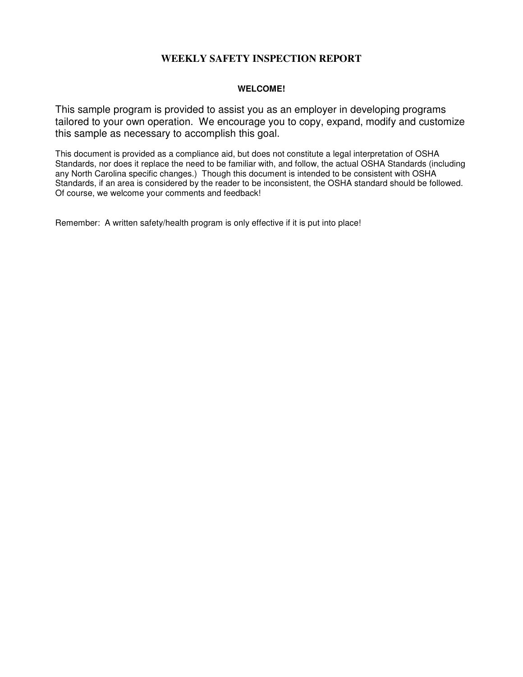## **WEEKLY SAFETY INSPECTION REPORT**

#### **WELCOME!**

This sample program is provided to assist you as an employer in developing programs tailored to your own operation. We encourage you to copy, expand, modify and customize this sample as necessary to accomplish this goal.

This document is provided as a compliance aid, but does not constitute a legal interpretation of OSHA Standards, nor does it replace the need to be familiar with, and follow, the actual OSHA Standards (including any North Carolina specific changes.) Though this document is intended to be consistent with OSHA Standards, if an area is considered by the reader to be inconsistent, the OSHA standard should be followed. Of course, we welcome your comments and feedback!

Remember: A written safety/health program is only effective if it is put into place!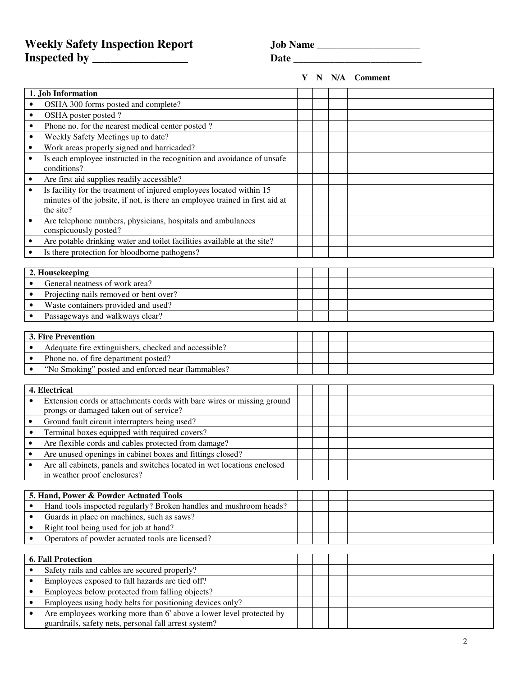# **Weekly Safety Inspection Report**  Jo **Inspected by \_\_\_\_\_\_\_\_\_\_\_\_\_\_\_\_ Date \_\_\_\_\_\_\_\_\_\_\_\_\_\_\_\_\_\_\_\_\_\_\_\_\_**

| ob Name |  |
|---------|--|
|         |  |

**1. Job Information**  • OSHA 300 forms posted and complete? • OSHA poster posted ? • Phone no. for the nearest medical center posted ? • Weekly Safety Meetings up to date? • Work areas properly signed and barricaded? • Is each employee instructed in the recognition and avoidance of unsafe conditions? • Are first aid supplies readily accessible? Is facility for the treatment of injured employees located within 15 minutes of the jobsite, if not, is there an employee trained in first aid at the site? • Are telephone numbers, physicians, hospitals and ambulances conspicuously posted? • Are potable drinking water and toilet facilities available at the site? • Is there protection for bloodborne pathogens? **2. Housekeeping**  • General neatness of work area? • Projecting nails removed or bent over? • Waste containers provided and used? • Passageways and walkways clear? **3. Fire Prevention**  • Adequate fire extinguishers, checked and accessible? Phone no. of fire department posted? • "No Smoking" posted and enforced near flammables? **4. Electrical**  Extension cords or attachments cords with bare wires or missing ground prongs or damaged taken out of service? • Ground fault circuit interrupters being used? • Terminal boxes equipped with required covers? • Are flexible cords and cables protected from damage? • Are unused openings in cabinet boxes and fittings closed? • Are all cabinets, panels and switches located in wet locations enclosed in weather proof enclosures? **5. Hand, Power & Powder Actuated Tools**  • Hand tools inspected regularly? Broken handles and mushroom heads? • Guards in place on machines, such as saws? • Right tool being used for job at hand? • Operators of powder actuated tools are licensed? **6. Fall Protection**  • Safety rails and cables are secured properly? • Employees exposed to fall hazards are tied off? **Y N N/A Comment**

guardrails, safety nets, personal fall arrest system?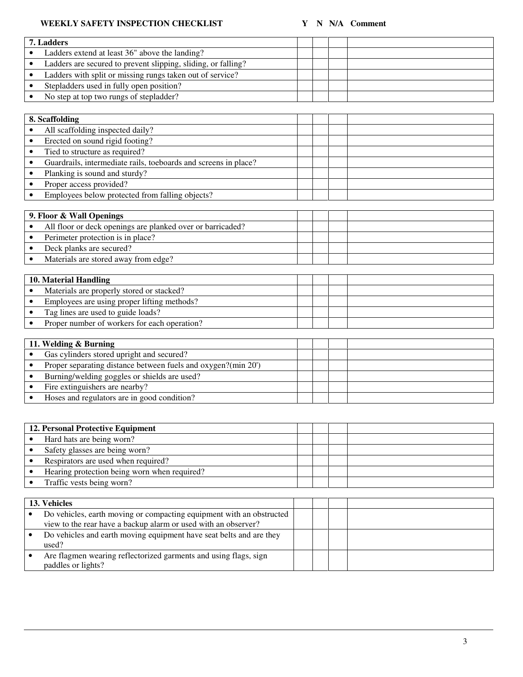### **WEEKLY SAFETY INSPECTION CHECKLIST Y** N N/A Comment

| 7. Ladders |                                                               |  |  |
|------------|---------------------------------------------------------------|--|--|
|            | Ladders extend at least 36" above the landing?                |  |  |
|            | Ladders are secured to prevent slipping, sliding, or falling? |  |  |
|            | Ladders with split or missing rungs taken out of service?     |  |  |
|            | Stepladders used in fully open position?                      |  |  |
|            | No step at top two rungs of stepladder?                       |  |  |
|            |                                                               |  |  |

| 8. Scaffolding                                                  |  |  |  |
|-----------------------------------------------------------------|--|--|--|
| All scaffolding inspected daily?                                |  |  |  |
| Erected on sound rigid footing?                                 |  |  |  |
| Tied to structure as required?                                  |  |  |  |
| Guardrails, intermediate rails, toeboards and screens in place? |  |  |  |
| Planking is sound and sturdy?                                   |  |  |  |
| Proper access provided?                                         |  |  |  |
| Employees below protected from falling objects?                 |  |  |  |

| 9. Floor & Wall Openings |                                                            |  |  |
|--------------------------|------------------------------------------------------------|--|--|
|                          | All floor or deck openings are planked over or barricaded? |  |  |
|                          | Perimeter protection is in place?                          |  |  |
|                          | Deck planks are secured?                                   |  |  |
|                          | Materials are stored away from edge?                       |  |  |

| 10. Material Handling |                                              |  |  |
|-----------------------|----------------------------------------------|--|--|
|                       | Materials are properly stored or stacked?    |  |  |
|                       | Employees are using proper lifting methods?  |  |  |
|                       | Tag lines are used to guide loads?           |  |  |
|                       | Proper number of workers for each operation? |  |  |

| 11. Welding & Burning |                                                               |  |  |  |  |
|-----------------------|---------------------------------------------------------------|--|--|--|--|
|                       | Gas cylinders stored upright and secured?                     |  |  |  |  |
|                       | Proper separating distance between fuels and oxygen?(min 20') |  |  |  |  |
|                       | Burning/welding goggles or shields are used?                  |  |  |  |  |
|                       | Fire extinguishers are nearby?                                |  |  |  |  |
|                       | Hoses and regulators are in good condition?                   |  |  |  |  |

| 12. Personal Protective Equipment            |  |  |  |
|----------------------------------------------|--|--|--|
| Hard hats are being worn?                    |  |  |  |
| Safety glasses are being worn?               |  |  |  |
| Respirators are used when required?          |  |  |  |
| Hearing protection being worn when required? |  |  |  |
| Traffic vests being worn?                    |  |  |  |

| 13. Vehicles                                                                                                                           |  |  |
|----------------------------------------------------------------------------------------------------------------------------------------|--|--|
| Do vehicles, earth moving or compacting equipment with an obstructed<br>view to the rear have a backup alarm or used with an observer? |  |  |
| Do vehicles and earth moving equipment have seat belts and are they<br>used?                                                           |  |  |
| Are flagmen wearing reflectorized garments and using flags, sign<br>paddles or lights?                                                 |  |  |